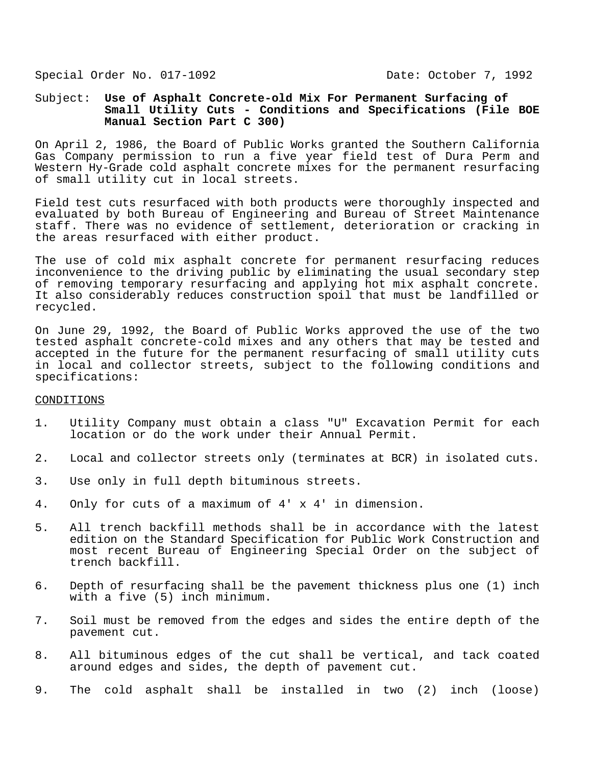Special Order No. 017-1092 Date: October 7, 1992

# Subject: **Use of Asphalt Concrete-old Mix For Permanent Surfacing of Small Utility Cuts - Conditions and Specifications (File BOE Manual Section Part C 300)**

On April 2, 1986, the Board of Public Works granted the Southern California Gas Company permission to run a five year field test of Dura Perm and Western Hy-Grade cold asphalt concrete mixes for the permanent resurfacing of small utility cut in local streets.

Field test cuts resurfaced with both products were thoroughly inspected and evaluated by both Bureau of Engineering and Bureau of Street Maintenance staff. There was no evidence of settlement, deterioration or cracking in the areas resurfaced with either product.

The use of cold mix asphalt concrete for permanent resurfacing reduces inconvenience to the driving public by eliminating the usual secondary step of removing temporary resurfacing and applying hot mix asphalt concrete. It also considerably reduces construction spoil that must be landfilled or recycled.

On June 29, 1992, the Board of Public Works approved the use of the two tested asphalt concrete-cold mixes and any others that may be tested and accepted in the future for the permanent resurfacing of small utility cuts in local and collector streets, subject to the following conditions and specifications:

### CONDITIONS

- 1. Utility Company must obtain a class "U" Excavation Permit for each location or do the work under their Annual Permit.
- 2. Local and collector streets only (terminates at BCR) in isolated cuts.
- 3. Use only in full depth bituminous streets.
- 4. Only for cuts of a maximum of 4' x 4' in dimension.
- 5. All trench backfill methods shall be in accordance with the latest edition on the Standard Specification for Public Work Construction and most recent Bureau of Engineering Special Order on the subject of trench backfill.
- 6. Depth of resurfacing shall be the pavement thickness plus one (1) inch with a five (5) inch minimum.
- 7. Soil must be removed from the edges and sides the entire depth of the pavement cut.
- 8. All bituminous edges of the cut shall be vertical, and tack coated around edges and sides, the depth of pavement cut.
- 9. The cold asphalt shall be installed in two (2) inch (loose)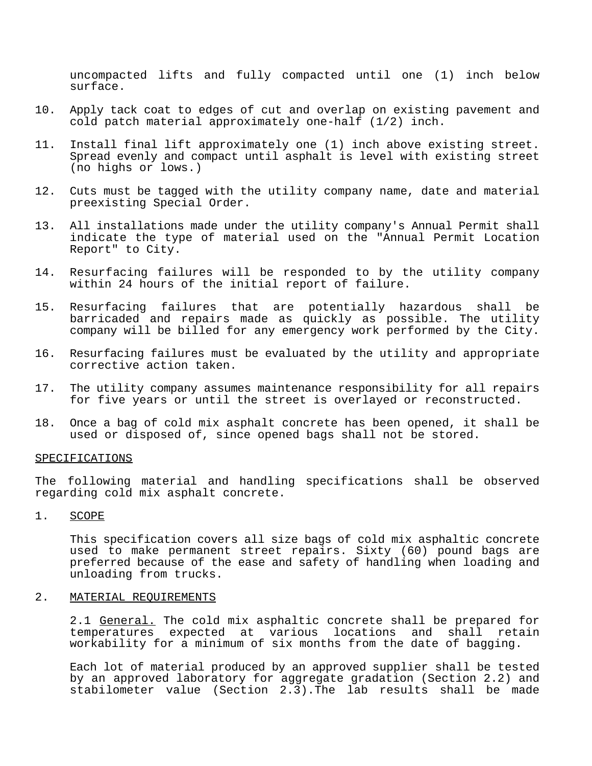uncompacted lifts and fully compacted until one (1) inch below surface.

- 10. Apply tack coat to edges of cut and overlap on existing pavement and cold patch material approximately one-half (1/2) inch.
- 11. Install final lift approximately one (1) inch above existing street. Spread evenly and compact until asphalt is level with existing street (no highs or lows.)
- 12. Cuts must be tagged with the utility company name, date and material preexisting Special Order.
- 13. All installations made under the utility company's Annual Permit shall indicate the type of material used on the "Annual Permit Location Report" to City.
- 14. Resurfacing failures will be responded to by the utility company within 24 hours of the initial report of failure.
- 15. Resurfacing failures that are potentially hazardous shall be barricaded and repairs made as quickly as possible. The utility company will be billed for any emergency work performed by the City.
- 16. Resurfacing failures must be evaluated by the utility and appropriate corrective action taken.
- 17. The utility company assumes maintenance responsibility for all repairs for five years or until the street is overlayed or reconstructed.
- 18. Once a bag of cold mix asphalt concrete has been opened, it shall be used or disposed of, since opened bags shall not be stored.

### SPECIFICATIONS

The following material and handling specifications shall be observed regarding cold mix asphalt concrete.

1. SCOPE

This specification covers all size bags of cold mix asphaltic concrete used to make permanent street repairs. Sixty (60) pound bags are preferred because of the ease and safety of handling when loading and unloading from trucks.

#### 2. MATERIAL REQUIREMENTS

2.1 General. The cold mix asphaltic concrete shall be prepared for temperatures expected at various locations and shall retain workability for a minimum of six months from the date of bagging.

Each lot of material produced by an approved supplier shall be tested by an approved laboratory for aggregate gradation (Section 2.2) and stabilometer value (Section 2.3).The lab results shall be made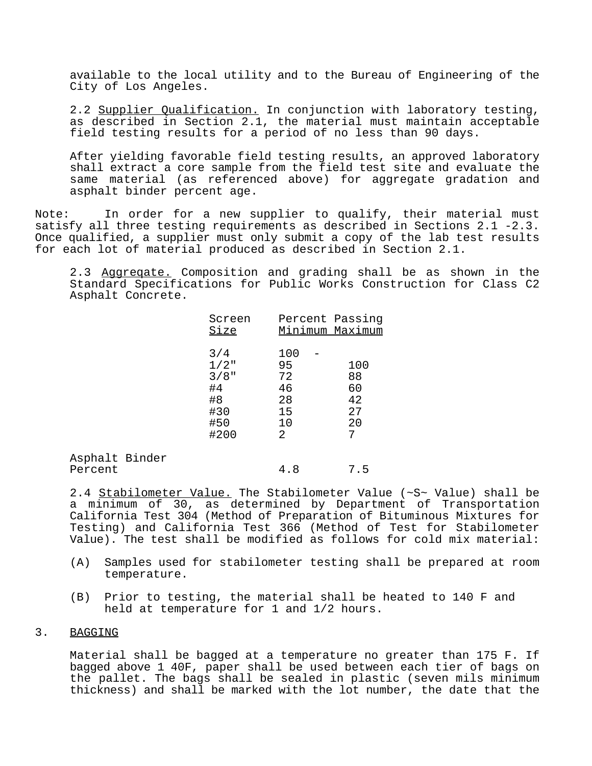available to the local utility and to the Bureau of Engineering of the City of Los Angeles.

2.2 Supplier Qualification. In conjunction with laboratory testing, as described in Section 2.1, the material must maintain acceptable field testing results for a period of no less than 90 days.

After yielding favorable field testing results, an approved laboratory shall extract a core sample from the field test site and evaluate the same material (as referenced above) for aggregate gradation and asphalt binder percent age.

Note: In order for a new supplier to qualify, their material must satisfy all three testing requirements as described in Sections 2.1 -2.3. Once qualified, a supplier must only submit a copy of the lab test results for each lot of material produced as described in Section 2.1.

2.3 Aggreqate. Composition and grading shall be as shown in the Standard Specifications for Public Works Construction for Class C2 Asphalt Concrete.

| Screen<br>Size                                              |                                               | Percent Passing<br>Minimum Maximum |
|-------------------------------------------------------------|-----------------------------------------------|------------------------------------|
| 3/4<br>$1/2$ "<br>$3/8$ "<br>#4<br>#8<br>#30<br>#50<br>#200 | 100<br>95<br>72<br>46<br>28<br>15<br>10<br>2. | 100<br>88<br>60<br>42<br>27<br>20  |

| Asphalt Binder |     |     |
|----------------|-----|-----|
| Percent        | 4.8 | 7.5 |

2.4 Stabilometer Value. The Stabilometer Value (~S~ Value) shall be a minimum of 30, as determined by Department of Transportation California Test 304 (Method of Preparation of Bituminous Mixtures for Testing) and California Test 366 (Method of Test for Stabilometer Value). The test shall be modified as follows for cold mix material:

- (A) Samples used for stabilometer testing shall be prepared at room temperature.
- (B) Prior to testing, the material shall be heated to 140 F and held at temperature for 1 and 1/2 hours.

### 3. BAGGING

Material shall be bagged at a temperature no greater than 175 F. If bagged above 1 40F, paper shall be used between each tier of bags on the pallet. The bags shall be sealed in plastic (seven mils minimum thickness) and shall be marked with the lot number, the date that the